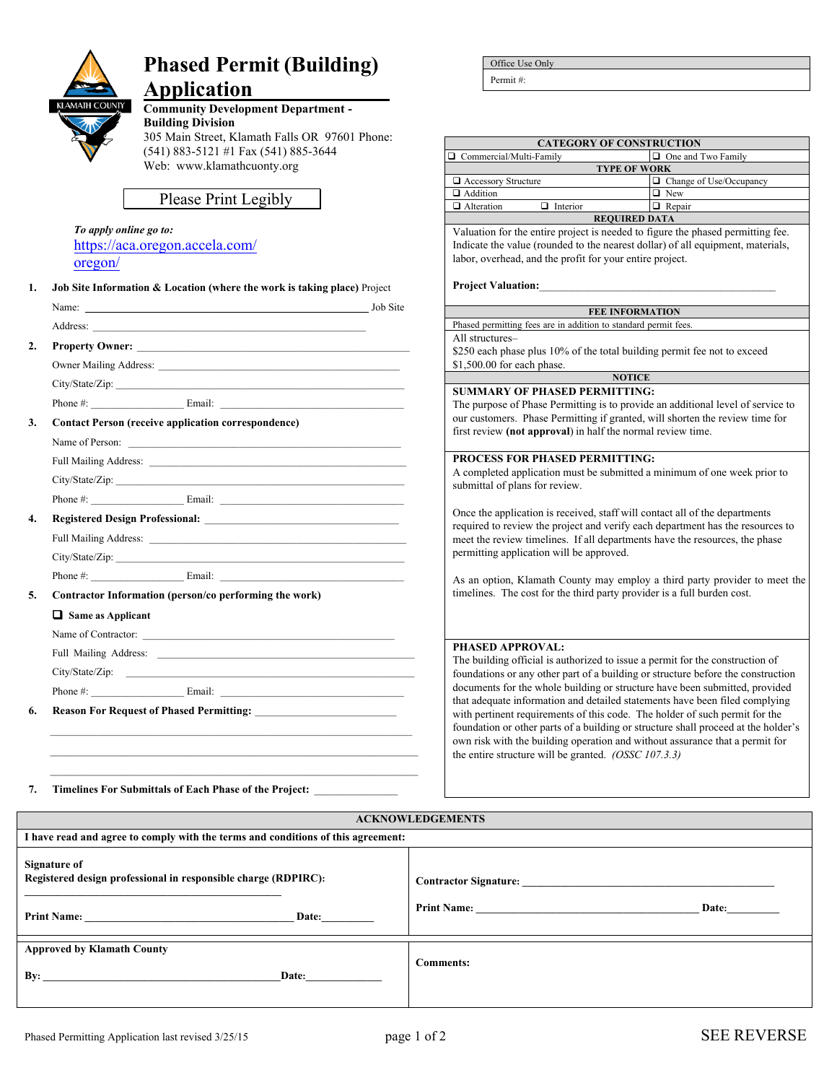

# **Phased Permit (Building)**

# **Application\_**

**Community Development Department - Building Division**  305 Main Street, Klamath Falls OR 97601 Phone: (541) 883-5121 #1 Fax (541) 885-3644 Web: [www.klamathcuonty.org](http://www.co.klamath.or.us/)

Please Print Legibly

| To apply online go to:         |
|--------------------------------|
| https://aca.oregon.accela.com/ |
| oregon/                        |

| 1.               | <b>Job Site Information &amp; Location (where the work is taking place)</b> Project |                                                                                                                                                                                                                                     |  |  |  |
|------------------|-------------------------------------------------------------------------------------|-------------------------------------------------------------------------------------------------------------------------------------------------------------------------------------------------------------------------------------|--|--|--|
|                  |                                                                                     |                                                                                                                                                                                                                                     |  |  |  |
|                  |                                                                                     | Address: <u>Address:</u> Address: Address: Address: Address: Address: Address: Address: Address: Address: Address: Address: Address: Address: Address: Address: Address: Address: Address: Address: Address: Address: Address: Addr |  |  |  |
| $\overline{2}$ . |                                                                                     | Property Owner: New York Changes and the Changes of the Changes of the Changes of the Changes of the Changes of the Changes of the Changes of the Changes of the Changes of the Changes of the Changes of the Changes of the C      |  |  |  |
|                  |                                                                                     |                                                                                                                                                                                                                                     |  |  |  |
|                  |                                                                                     |                                                                                                                                                                                                                                     |  |  |  |
|                  |                                                                                     |                                                                                                                                                                                                                                     |  |  |  |
| 3.               |                                                                                     | <b>Contact Person (receive application correspondence)</b>                                                                                                                                                                          |  |  |  |
|                  |                                                                                     |                                                                                                                                                                                                                                     |  |  |  |
|                  |                                                                                     | Full Mailing Address: 2008 Communication of the Communication of the Communication of the Communication of the Communication of the Communication of the Communication of the Communication of the Communication of the Commun      |  |  |  |
|                  |                                                                                     |                                                                                                                                                                                                                                     |  |  |  |
|                  |                                                                                     | Phone #: Email: Email:                                                                                                                                                                                                              |  |  |  |
| $\overline{4}$ . |                                                                                     |                                                                                                                                                                                                                                     |  |  |  |
|                  |                                                                                     |                                                                                                                                                                                                                                     |  |  |  |
|                  |                                                                                     |                                                                                                                                                                                                                                     |  |  |  |
|                  |                                                                                     |                                                                                                                                                                                                                                     |  |  |  |
| 5.               | Contractor Information (person/co performing the work)                              |                                                                                                                                                                                                                                     |  |  |  |
|                  | $\Box$ Same as Applicant                                                            |                                                                                                                                                                                                                                     |  |  |  |
|                  |                                                                                     | Name of Contractor:                                                                                                                                                                                                                 |  |  |  |
|                  | Full Mailing Address:                                                               |                                                                                                                                                                                                                                     |  |  |  |

 $\_$  , and the set of the set of the set of the set of the set of the set of the set of the set of the set of the set of the set of the set of the set of the set of the set of the set of the set of the set of the set of th \_\_\_\_\_\_\_\_\_\_\_\_\_\_\_\_\_\_\_\_\_\_\_\_\_\_\_\_\_\_\_\_\_\_\_\_\_\_\_\_\_\_\_\_\_\_\_\_\_\_\_\_\_\_\_\_\_\_\_\_\_\_\_\_\_\_ Office Use Only

Permit #:

|                                                                                 | <b>CATEGORY OF CONSTRUCTION</b>                                                                                                                                                                                                                  |  |  |
|---------------------------------------------------------------------------------|--------------------------------------------------------------------------------------------------------------------------------------------------------------------------------------------------------------------------------------------------|--|--|
| □ Commercial/Multi-Family                                                       | One and Two Family                                                                                                                                                                                                                               |  |  |
|                                                                                 | <b>TYPE OF WORK</b>                                                                                                                                                                                                                              |  |  |
| $\Box$ Accessory Structure                                                      | $\Box$ Change of Use/Occupancy                                                                                                                                                                                                                   |  |  |
| Addition                                                                        | $\Box$ New                                                                                                                                                                                                                                       |  |  |
| Alteration<br>$\Box$ Interior                                                   | $\Box$ Repair                                                                                                                                                                                                                                    |  |  |
|                                                                                 | <b>REQUIRED DATA</b>                                                                                                                                                                                                                             |  |  |
| labor, overhead, and the profit for your entire project.                        | Valuation for the entire project is needed to figure the phased permitting fee.<br>Indicate the value (rounded to the nearest dollar) of all equipment, materials,                                                                               |  |  |
| <b>Project Valuation:</b>                                                       |                                                                                                                                                                                                                                                  |  |  |
|                                                                                 | <b>FEE INFORMATION</b>                                                                                                                                                                                                                           |  |  |
| Phased permitting fees are in addition to standard permit fees.                 |                                                                                                                                                                                                                                                  |  |  |
| All structures-                                                                 |                                                                                                                                                                                                                                                  |  |  |
|                                                                                 | \$250 each phase plus 10% of the total building permit fee not to exceed                                                                                                                                                                         |  |  |
| \$1,500.00 for each phase.                                                      |                                                                                                                                                                                                                                                  |  |  |
|                                                                                 | <b>NOTICE</b>                                                                                                                                                                                                                                    |  |  |
| <b>SUMMARY OF PHASED PERMITTING:</b>                                            |                                                                                                                                                                                                                                                  |  |  |
| The purpose of Phase Permitting is to provide an additional level of service to |                                                                                                                                                                                                                                                  |  |  |
| our customers. Phase Permitting if granted, will shorten the review time for    |                                                                                                                                                                                                                                                  |  |  |
| first review (not approval) in half the normal review time.                     |                                                                                                                                                                                                                                                  |  |  |
| <b>PROCESS FOR PHASED PERMITTING:</b>                                           |                                                                                                                                                                                                                                                  |  |  |
| submittal of plans for review.                                                  | A completed application must be submitted a minimum of one week prior to                                                                                                                                                                         |  |  |
| permitting application will be approved.                                        | Once the application is received, staff will contact all of the departments<br>required to review the project and verify each department has the resources to<br>meet the review timelines. If all departments have the resources, the phase     |  |  |
|                                                                                 | As an option, Klamath County may employ a third party provider to meet the<br>timelines. The cost for the third party provider is a full burden cost.                                                                                            |  |  |
| <b>PHASED APPROVAL:</b>                                                         | The building official is authorized to issue a permit for the construction of<br>foundations or any other part of a building or structure before the construction<br>documents for the whole building or structure have been submitted, provided |  |  |
|                                                                                 | that adequate information and detailed statements have been filed complying<br>with pertinent requirements of this code. The holder of such permit for the                                                                                       |  |  |

foundation or other parts of a building or structure shall proceed at the holder's own risk with the building operation and without assurance that a permit for

the entire structure will be granted. *(OSSC 107.3.3)*

**6.** Reason For Request of Phased Permitting:

Phone #: \_\_\_\_\_\_\_\_\_\_\_\_\_\_\_\_\_\_ Email: \_\_\_\_\_\_\_\_\_\_\_\_\_\_\_\_\_\_\_\_\_\_\_\_\_\_\_\_\_\_\_\_\_\_\_

7. Timelines For Submittals of Each Phase of the Project: \_

City/State/Zip:

#### **ACKNOWLEDGEMENTS**

| I have read and agree to comply with the terms and conditions of this agreement:                              |                  |  |  |  |  |
|---------------------------------------------------------------------------------------------------------------|------------------|--|--|--|--|
| Signature of<br>Registered design professional in responsible charge (RDPIRC):<br>Date:<br><b>Print Name:</b> | Date:            |  |  |  |  |
| <b>Approved by Klamath County</b><br>By:<br>Date:                                                             | <b>Comments:</b> |  |  |  |  |